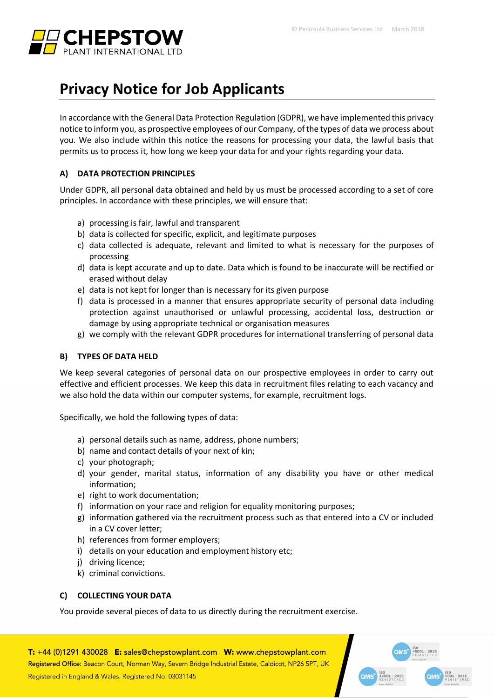

# **Privacy Notice for Job Applicants**

In accordance with the General Data Protection Regulation (GDPR), we have implemented this privacy notice to inform you, as prospective employees of our Company, of the types of data we process about you. We also include within this notice the reasons for processing your data, the lawful basis that permits us to process it, how long we keep your data for and your rights regarding your data.

# **A) DATA PROTECTION PRINCIPLES**

Under GDPR, all personal data obtained and held by us must be processed according to a set of core principles. In accordance with these principles, we will ensure that:

- a) processing is fair, lawful and transparent
- b) data is collected for specific, explicit, and legitimate purposes
- c) data collected is adequate, relevant and limited to what is necessary for the purposes of processing
- d) data is kept accurate and up to date. Data which is found to be inaccurate will be rectified or erased without delay
- e) data is not kept for longer than is necessary for its given purpose
- f) data is processed in a manner that ensures appropriate security of personal data including protection against unauthorised or unlawful processing, accidental loss, destruction or damage by using appropriate technical or organisation measures
- g) we comply with the relevant GDPR procedures for international transferring of personal data

## **B) TYPES OF DATA HELD**

We keep several categories of personal data on our prospective employees in order to carry out effective and efficient processes. We keep this data in recruitment files relating to each vacancy and we also hold the data within our computer systems, for example, recruitment logs.

Specifically, we hold the following types of data:

- a) personal details such as name, address, phone numbers;
- b) name and contact details of your next of kin;
- c) your photograph;
- d) your gender, marital status, information of any disability you have or other medical information;
- e) right to work documentation;
- f) information on your race and religion for equality monitoring purposes;
- g) information gathered via the recruitment process such as that entered into a CV or included in a CV cover letter;
- h) references from former employers;
- i) details on your education and employment history etc;
- j) driving licence;
- k) criminal convictions.

# **C) COLLECTING YOUR DATA**

You provide several pieces of data to us directly during the recruitment exercise.

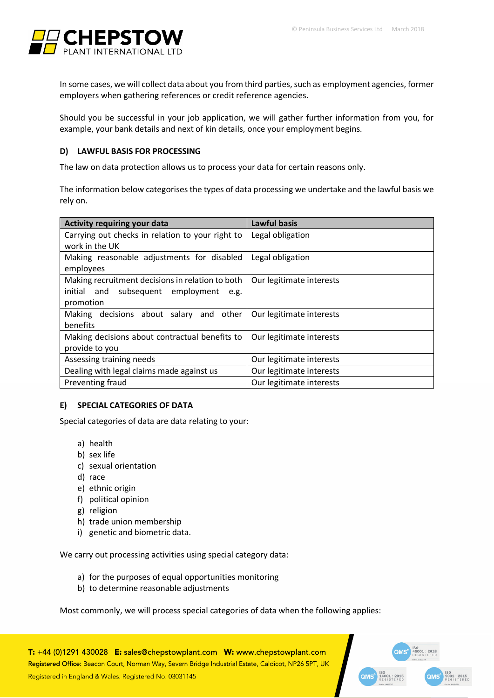

In some cases, we will collect data about you from third parties, such as employment agencies, former employers when gathering references or credit reference agencies.

Should you be successful in your job application, we will gather further information from you, for example, your bank details and next of kin details, once your employment begins.

# **D) LAWFUL BASIS FOR PROCESSING**

The law on data protection allows us to process your data for certain reasons only.

The information below categorises the types of data processing we undertake and the lawful basis we rely on.

| <b>Activity requiring your data</b>              | <b>Lawful basis</b>      |
|--------------------------------------------------|--------------------------|
| Carrying out checks in relation to your right to | Legal obligation         |
| work in the UK                                   |                          |
| Making reasonable adjustments for disabled       | Legal obligation         |
| employees                                        |                          |
| Making recruitment decisions in relation to both | Our legitimate interests |
| initial and subsequent employment<br>e.g.        |                          |
| promotion                                        |                          |
| Making decisions about salary and other          | Our legitimate interests |
| benefits                                         |                          |
| Making decisions about contractual benefits to   | Our legitimate interests |
| provide to you                                   |                          |
| Assessing training needs                         | Our legitimate interests |
| Dealing with legal claims made against us        | Our legitimate interests |
| Preventing fraud                                 | Our legitimate interests |

## **E) SPECIAL CATEGORIES OF DATA**

Special categories of data are data relating to your:

- a) health
- b) sex life
- c) sexual orientation
- d) race
- e) ethnic origin
- f) political opinion
- g) religion
- h) trade union membership
- i) genetic and biometric data.

We carry out processing activities using special category data:

- a) for the purposes of equal opportunities monitoring
- b) to determine reasonable adjustments

Most commonly, we will process special categories of data when the following applies:

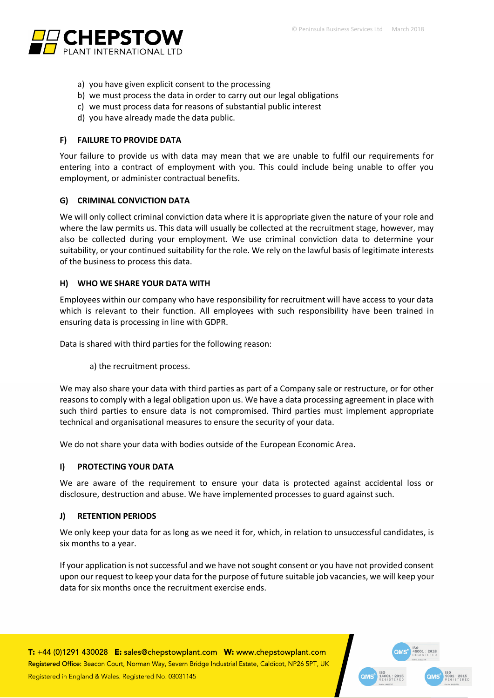

- a) you have given explicit consent to the processing
- b) we must process the data in order to carry out our legal obligations
- c) we must process data for reasons of substantial public interest
- d) you have already made the data public.

#### **F) FAILURE TO PROVIDE DATA**

Your failure to provide us with data may mean that we are unable to fulfil our requirements for entering into a contract of employment with you. This could include being unable to offer you employment, or administer contractual benefits.

#### **G) CRIMINAL CONVICTION DATA**

We will only collect criminal conviction data where it is appropriate given the nature of your role and where the law permits us. This data will usually be collected at the recruitment stage, however, may also be collected during your employment. We use criminal conviction data to determine your suitability, or your continued suitability for the role. We rely on the lawful basis of legitimate interests of the business to process this data.

#### **H) WHO WE SHARE YOUR DATA WITH**

Employees within our company who have responsibility for recruitment will have access to your data which is relevant to their function. All employees with such responsibility have been trained in ensuring data is processing in line with GDPR.

Data is shared with third parties for the following reason:

a) the recruitment process.

We may also share your data with third parties as part of a Company sale or restructure, or for other reasons to comply with a legal obligation upon us. We have a data processing agreement in place with such third parties to ensure data is not compromised. Third parties must implement appropriate technical and organisational measures to ensure the security of your data.

We do not share your data with bodies outside of the European Economic Area.

## **I) PROTECTING YOUR DATA**

We are aware of the requirement to ensure your data is protected against accidental loss or disclosure, destruction and abuse. We have implemented processes to guard against such.

#### **J) RETENTION PERIODS**

We only keep your data for as long as we need it for, which, in relation to unsuccessful candidates, is six months to a year.

If your application is not successful and we have not sought consent or you have not provided consent upon our request to keep your data for the purpose of future suitable job vacancies, we will keep your data for six months once the recruitment exercise ends.

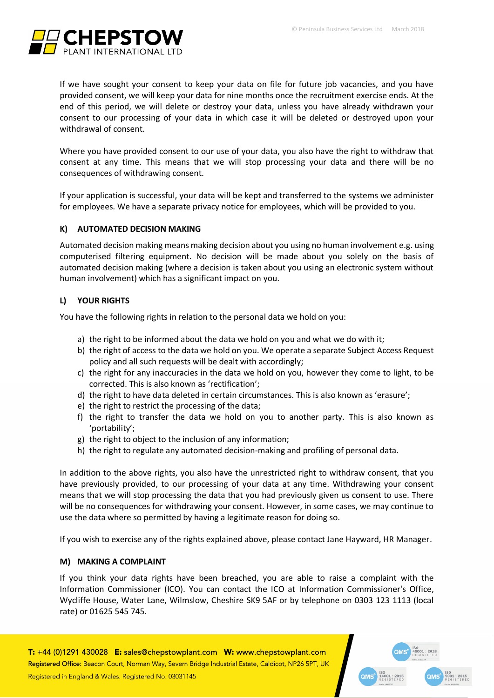

If we have sought your consent to keep your data on file for future job vacancies, and you have provided consent, we will keep your data for nine months once the recruitment exercise ends. At the end of this period, we will delete or destroy your data, unless you have already withdrawn your consent to our processing of your data in which case it will be deleted or destroyed upon your withdrawal of consent.

Where you have provided consent to our use of your data, you also have the right to withdraw that consent at any time. This means that we will stop processing your data and there will be no consequences of withdrawing consent.

If your application is successful, your data will be kept and transferred to the systems we administer for employees. We have a separate privacy notice for employees, which will be provided to you.

# **K) AUTOMATED DECISION MAKING**

Automated decision making means making decision about you using no human involvement e.g. using computerised filtering equipment. No decision will be made about you solely on the basis of automated decision making (where a decision is taken about you using an electronic system without human involvement) which has a significant impact on you.

# **L) YOUR RIGHTS**

You have the following rights in relation to the personal data we hold on you:

- a) the right to be informed about the data we hold on you and what we do with it;
- b) the right of access to the data we hold on you. We operate a separate Subject Access Request policy and all such requests will be dealt with accordingly;
- c) the right for any inaccuracies in the data we hold on you, however they come to light, to be corrected. This is also known as 'rectification';
- d) the right to have data deleted in certain circumstances. This is also known as 'erasure';
- e) the right to restrict the processing of the data;
- f) the right to transfer the data we hold on you to another party. This is also known as 'portability';
- g) the right to object to the inclusion of any information;
- h) the right to regulate any automated decision-making and profiling of personal data.

In addition to the above rights, you also have the unrestricted right to withdraw consent, that you have previously provided, to our processing of your data at any time. Withdrawing your consent means that we will stop processing the data that you had previously given us consent to use. There will be no consequences for withdrawing your consent. However, in some cases, we may continue to use the data where so permitted by having a legitimate reason for doing so.

If you wish to exercise any of the rights explained above, please contact Jane Hayward, HR Manager.

## **M) MAKING A COMPLAINT**

If you think your data rights have been breached, you are able to raise a complaint with the Information Commissioner (ICO). You can contact the ICO at Information Commissioner's Office, Wycliffe House, Water Lane, Wilmslow, Cheshire SK9 5AF or by telephone on 0303 123 1113 (local rate) or 01625 545 745.